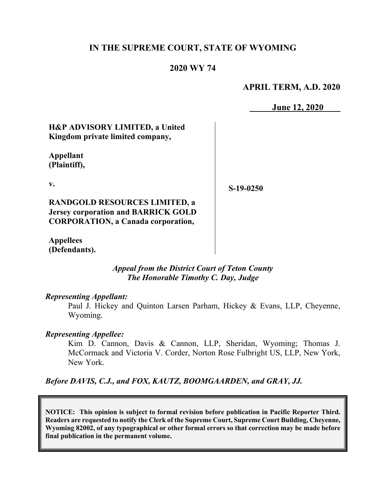## **IN THE SUPREME COURT, STATE OF WYOMING**

#### **2020 WY 74**

#### **APRIL TERM, A.D. 2020**

**June 12, 2020**

# **H&P ADVISORY LIMITED, a United Kingdom private limited company,**

**Appellant (Plaintiff),**

**v.**

**S-19-0250**

**RANDGOLD RESOURCES LIMITED, a Jersey corporation and BARRICK GOLD CORPORATION, a Canada corporation,**

**Appellees (Defendants).**

> *Appeal from the District Court of Teton County The Honorable Timothy C. Day, Judge*

#### *Representing Appellant:*

Paul J. Hickey and Quinton Larsen Parham, Hickey & Evans, LLP, Cheyenne, Wyoming.

#### *Representing Appellee:*

Kim D. Cannon, Davis & Cannon, LLP, Sheridan, Wyoming; Thomas J. McCormack and Victoria V. Corder, Norton Rose Fulbright US, LLP, New York, New York.

## *Before DAVIS, C.J., and FOX, KAUTZ, BOOMGAARDEN, and GRAY, JJ.*

**NOTICE: This opinion is subject to formal revision before publication in Pacific Reporter Third. Readers are requested to notify the Clerk of the Supreme Court, Supreme Court Building, Cheyenne, Wyoming 82002, of any typographical or other formal errors so that correction may be made before final publication in the permanent volume.**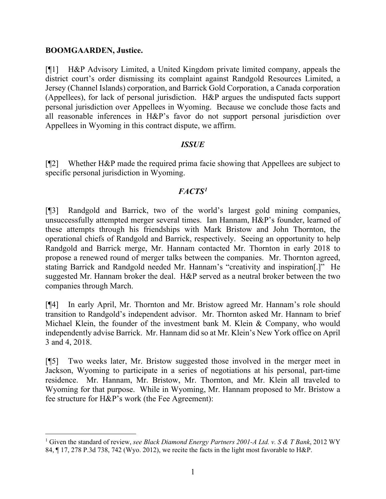#### **BOOMGAARDEN, Justice.**

[¶1] H&P Advisory Limited, a United Kingdom private limited company, appeals the district court's order dismissing its complaint against Randgold Resources Limited, a Jersey (Channel Islands) corporation, and Barrick Gold Corporation, a Canada corporation (Appellees), for lack of personal jurisdiction. H&P argues the undisputed facts support personal jurisdiction over Appellees in Wyoming. Because we conclude those facts and all reasonable inferences in H&P's favor do not support personal jurisdiction over Appellees in Wyoming in this contract dispute, we affirm.

## *ISSUE*

[¶2] Whether H&P made the required prima facie showing that Appellees are subject to specific personal jurisdiction in Wyoming.

# *FACTS[1](#page-1-0)*

[¶3] Randgold and Barrick, two of the world's largest gold mining companies, unsuccessfully attempted merger several times. Ian Hannam, H&P's founder, learned of these attempts through his friendships with Mark Bristow and John Thornton, the operational chiefs of Randgold and Barrick, respectively. Seeing an opportunity to help Randgold and Barrick merge, Mr. Hannam contacted Mr. Thornton in early 2018 to propose a renewed round of merger talks between the companies. Mr. Thornton agreed, stating Barrick and Randgold needed Mr. Hannam's "creativity and inspiration[.]" He suggested Mr. Hannam broker the deal. H&P served as a neutral broker between the two companies through March.

[¶4] In early April, Mr. Thornton and Mr. Bristow agreed Mr. Hannam's role should transition to Randgold's independent advisor. Mr. Thornton asked Mr. Hannam to brief Michael Klein, the founder of the investment bank M. Klein & Company, who would independently advise Barrick. Mr. Hannam did so at Mr. Klein's New York office on April 3 and 4, 2018.

[¶5] Two weeks later, Mr. Bristow suggested those involved in the merger meet in Jackson, Wyoming to participate in a series of negotiations at his personal, part-time residence. Mr. Hannam, Mr. Bristow, Mr. Thornton, and Mr. Klein all traveled to Wyoming for that purpose. While in Wyoming, Mr. Hannam proposed to Mr. Bristow a fee structure for H&P's work (the Fee Agreement):

<span id="page-1-0"></span><sup>1</sup> Given the standard of review, *see Black Diamond Energy Partners 2001-A Ltd. v. S & T Bank*, 2012 WY 84, ¶ 17, 278 P.3d 738, 742 (Wyo. 2012), we recite the facts in the light most favorable to H&P.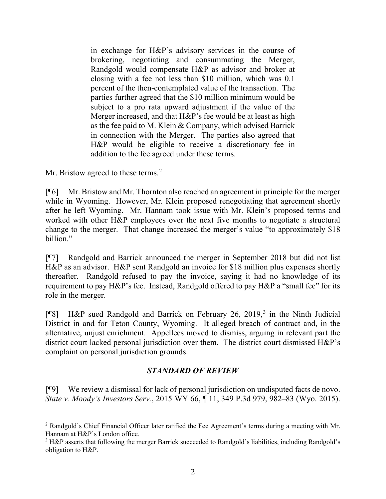in exchange for H&P's advisory services in the course of brokering, negotiating and consummating the Merger, Randgold would compensate H&P as advisor and broker at closing with a fee not less than \$10 million, which was 0.1 percent of the then-contemplated value of the transaction. The parties further agreed that the \$10 million minimum would be subject to a pro rata upward adjustment if the value of the Merger increased, and that H&P's fee would be at least as high as the fee paid to M. Klein & Company, which advised Barrick in connection with the Merger. The parties also agreed that H&P would be eligible to receive a discretionary fee in addition to the fee agreed under these terms.

Mr. Bristow agreed to these terms.<sup>[2](#page-2-0)</sup>

[¶6] Mr. Bristow and Mr. Thornton also reached an agreement in principle for the merger while in Wyoming. However, Mr. Klein proposed renegotiating that agreement shortly after he left Wyoming. Mr. Hannam took issue with Mr. Klein's proposed terms and worked with other H&P employees over the next five months to negotiate a structural change to the merger. That change increased the merger's value "to approximately \$18 billion."

[¶7] Randgold and Barrick announced the merger in September 2018 but did not list H&P as an advisor. H&P sent Randgold an invoice for \$18 million plus expenses shortly thereafter. Randgold refused to pay the invoice, saying it had no knowledge of its requirement to pay H&P's fee. Instead, Randgold offered to pay H&P a "small fee" for its role in the merger.

[¶8] H&P sued Randgold and Barrick on February 26, 2019, [3](#page-2-1) in the Ninth Judicial District in and for Teton County, Wyoming. It alleged breach of contract and, in the alternative, unjust enrichment. Appellees moved to dismiss, arguing in relevant part the district court lacked personal jurisdiction over them. The district court dismissed H&P's complaint on personal jurisdiction grounds.

## *STANDARD OF REVIEW*

[¶9] We review a dismissal for lack of personal jurisdiction on undisputed facts de novo. *State v. Moody's Investors Serv.*, 2015 WY 66, ¶ 11, 349 P.3d 979, 982–83 (Wyo. 2015).

<span id="page-2-0"></span><sup>2</sup> Randgold's Chief Financial Officer later ratified the Fee Agreement's terms during a meeting with Mr. Hannam at H&P's London office.

<span id="page-2-1"></span><sup>&</sup>lt;sup>3</sup> H&P asserts that following the merger Barrick succeeded to Randgold's liabilities, including Randgold's obligation to H&P.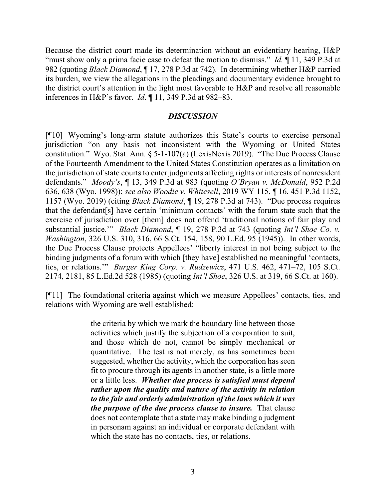Because the district court made its determination without an evidentiary hearing, H&P "must show only a prima facie case to defeat the motion to dismiss." *Id.*  $\parallel$  11, 349 P.3d at 982 (quoting *Black Diamond*, ¶ 17, 278 P.3d at 742). In determining whether H&P carried its burden, we view the allegations in the pleadings and documentary evidence brought to the district court's attention in the light most favorable to H&P and resolve all reasonable inferences in H&P's favor. *Id*. ¶ 11, 349 P.3d at 982–83.

#### *DISCUSSION*

[¶10] Wyoming's long-arm statute authorizes this State's courts to exercise personal jurisdiction "on any basis not inconsistent with the Wyoming or United States constitution." Wyo. Stat. Ann. § 5-1-107(a) (LexisNexis 2019). "The Due Process Clause of the Fourteenth Amendment to the United States Constitution operates as a limitation on the jurisdiction of state courts to enter judgments affecting rights or interests of nonresident defendants." *Moody's*, ¶ 13, 349 P.3d at 983 (quoting *O'Bryan v. McDonald*, 952 P.2d 636, 638 (Wyo. 1998)); *see also Woodie v. Whitesell*, 2019 WY 115, ¶ 16, 451 P.3d 1152, 1157 (Wyo. 2019) (citing *Black Diamond*, ¶ 19, 278 P.3d at 743). "Due process requires that the defendant[s] have certain 'minimum contacts' with the forum state such that the exercise of jurisdiction over [them] does not offend 'traditional notions of fair play and substantial justice.'" *Black Diamond*, ¶ 19, 278 P.3d at 743 (quoting *Int'l Shoe Co. v. Washington*, 326 U.S. 310, 316, 66 S.Ct. 154, 158, 90 L.Ed. 95 (1945)). In other words, the Due Process Clause protects Appellees' "liberty interest in not being subject to the binding judgments of a forum with which [they have] established no meaningful 'contacts, ties, or relations.'" *Burger King Corp. v. Rudzewicz*, 471 U.S. 462, 471–72, 105 S.Ct. 2174, 2181, 85 L.Ed.2d 528 (1985) (quoting *Int'l Shoe*, 326 U.S. at 319, 66 S.Ct. at 160).

[¶11] The foundational criteria against which we measure Appellees' contacts, ties, and relations with Wyoming are well established:

> the criteria by which we mark the boundary line between those activities which justify the subjection of a corporation to suit, and those which do not, cannot be simply mechanical or quantitative. The test is not merely, as has sometimes been suggested, whether the activity, which the corporation has seen fit to procure through its agents in another state, is a little more or a little less. *Whether due process is satisfied must depend rather upon the quality and nature of the activity in relation to the fair and orderly administration of the laws which it was the purpose of the due process clause to insure.* That clause does not contemplate that a state may make binding a judgment in personam against an individual or corporate defendant with which the state has no contacts, ties, or relations.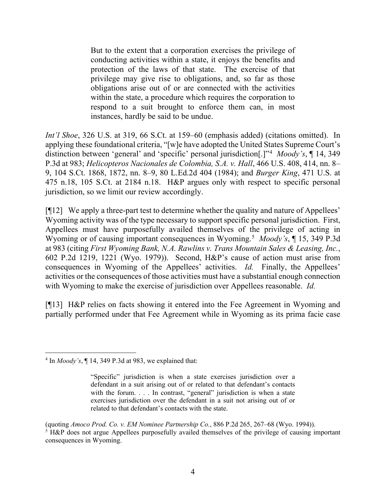But to the extent that a corporation exercises the privilege of conducting activities within a state, it enjoys the benefits and protection of the laws of that state. The exercise of that privilege may give rise to obligations, and, so far as those obligations arise out of or are connected with the activities within the state, a procedure which requires the corporation to respond to a suit brought to enforce them can, in most instances, hardly be said to be undue.

*Int'l Shoe*, 326 U.S. at 319, 66 S.Ct. at 159–60 (emphasis added) (citations omitted). In applying these foundational criteria, "[w]e have adopted the United States Supreme Court's distinction between 'general' and 'specific' personal jurisdiction[.]"[4](#page-4-0) *Moody's*, ¶ 14, 349 P.3d at 983; *Helicopteros Nacionales de Colombia, S.A. v. Hall*, 466 U.S. 408, 414, nn. 8– 9, 104 S.Ct. 1868, 1872, nn. 8–9, 80 L.Ed.2d 404 (1984); and *Burger King*, 471 U.S. at 475 n.18, 105 S.Ct. at 2184 n.18. H&P argues only with respect to specific personal jurisdiction, so we limit our review accordingly.

[¶12] We apply a three-part test to determine whether the quality and nature of Appellees' Wyoming activity was of the type necessary to support specific personal jurisdiction. First, Appellees must have purposefully availed themselves of the privilege of acting in Wyoming or of causing important consequences in Wyoming.[5](#page-4-1) *Moody's*, ¶ 15, 349 P.3d at 983 (citing *First Wyoming Bank, N.A. Rawlins v. Trans Mountain Sales & Leasing, Inc.*, 602 P.2d 1219, 1221 (Wyo. 1979)). Second, H&P's cause of action must arise from consequences in Wyoming of the Appellees' activities. *Id.* Finally, the Appellees' activities or the consequences of those activities must have a substantial enough connection with Wyoming to make the exercise of jurisdiction over Appellees reasonable. *Id.*

[¶13] H&P relies on facts showing it entered into the Fee Agreement in Wyoming and partially performed under that Fee Agreement while in Wyoming as its prima facie case

<span id="page-4-0"></span><sup>4</sup> In *Moody's*, ¶ 14, 349 P.3d at 983, we explained that:

<sup>&</sup>quot;Specific" jurisdiction is when a state exercises jurisdiction over a defendant in a suit arising out of or related to that defendant's contacts with the forum. . . . In contrast, "general" jurisdiction is when a state exercises jurisdiction over the defendant in a suit not arising out of or related to that defendant's contacts with the state.

<span id="page-4-1"></span><sup>(</sup>quoting *Amoco Prod. Co. v. EM Nominee Partnership Co.*, 886 P.2d 265, 267–68 (Wyo. 1994)). <sup>5</sup> H&P does not argue Appellees purposefully availed themselves of the privilege of causing important consequences in Wyoming.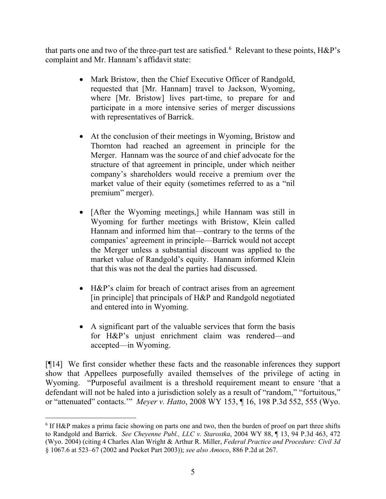that parts one and two of the three-part test are satisfied.  $6$  Relevant to these points, H&P's complaint and Mr. Hannam's affidavit state:

- Mark Bristow, then the Chief Executive Officer of Randgold, requested that [Mr. Hannam] travel to Jackson, Wyoming, where [Mr. Bristow] lives part-time, to prepare for and participate in a more intensive series of merger discussions with representatives of Barrick.
- At the conclusion of their meetings in Wyoming, Bristow and Thornton had reached an agreement in principle for the Merger. Hannam was the source of and chief advocate for the structure of that agreement in principle, under which neither company's shareholders would receive a premium over the market value of their equity (sometimes referred to as a "nil premium" merger).
- [After the Wyoming meetings,] while Hannam was still in Wyoming for further meetings with Bristow, Klein called Hannam and informed him that—contrary to the terms of the companies' agreement in principle—Barrick would not accept the Merger unless a substantial discount was applied to the market value of Randgold's equity. Hannam informed Klein that this was not the deal the parties had discussed.
- H&P's claim for breach of contract arises from an agreement [in principle] that principals of H&P and Randgold negotiated and entered into in Wyoming.
- A significant part of the valuable services that form the basis for H&P's unjust enrichment claim was rendered—and accepted—in Wyoming.

[¶14] We first consider whether these facts and the reasonable inferences they support show that Appellees purposefully availed themselves of the privilege of acting in Wyoming. "Purposeful availment is a threshold requirement meant to ensure 'that a defendant will not be haled into a jurisdiction solely as a result of "random," "fortuitous," or "attenuated" contacts.'" *Meyer v. Hatto*, 2008 WY 153, ¶ 16, 198 P.3d 552, 555 (Wyo.

<span id="page-5-0"></span><sup>6</sup> If H&P makes a prima facie showing on parts one and two, then the burden of proof on part three shifts to Randgold and Barrick. *See Cheyenne Publ., LLC v. Starostka*, 2004 WY 88, ¶ 13, 94 P.3d 463, 472 (Wyo. 2004) (citing 4 Charles Alan Wright & Arthur R. Miller, *Federal Practice and Procedure: Civil 3d*  § 1067.6 at 523–67 (2002 and Pocket Part 2003)); *see also Amoco*, 886 P.2d at 267.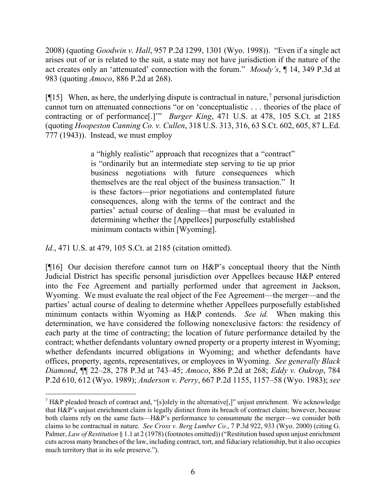2008) (quoting *Goodwin v. Hall*, 957 P.2d 1299, 1301 (Wyo. 1998)). "Even if a single act arises out of or is related to the suit, a state may not have jurisdiction if the nature of the act creates only an 'attenuated' connection with the forum." *Moody's*, ¶ 14, 349 P.3d at 983 (quoting *Amoco*, 886 P.2d at 268).

[ $[15]$  When, as here, the underlying dispute is contractual in nature,<sup>[7](#page-6-0)</sup> personal jurisdiction cannot turn on attenuated connections "or on 'conceptualistic . . . theories of the place of contracting or of performance[.]'" *Burger King*, 471 U.S. at 478, 105 S.Ct. at 2185 (quoting *Hoopeston Canning Co. v. Cullen*, 318 U.S. 313, 316, 63 S.Ct. 602, 605, 87 L.Ed. 777 (1943)). Instead, we must employ

> a "highly realistic" approach that recognizes that a "contract" is "ordinarily but an intermediate step serving to tie up prior business negotiations with future consequences which themselves are the real object of the business transaction." It is these factors—prior negotiations and contemplated future consequences, along with the terms of the contract and the parties' actual course of dealing—that must be evaluated in determining whether the [Appellees] purposefully established minimum contacts within [Wyoming].

*Id.*, 471 U.S. at 479, 105 S.Ct. at 2185 (citation omitted).

[¶16] Our decision therefore cannot turn on H&P's conceptual theory that the Ninth Judicial District has specific personal jurisdiction over Appellees because H&P entered into the Fee Agreement and partially performed under that agreement in Jackson, Wyoming. We must evaluate the real object of the Fee Agreement—the merger—and the parties' actual course of dealing to determine whether Appellees purposefully established minimum contacts within Wyoming as H&P contends. *See id.* When making this determination, we have considered the following nonexclusive factors: the residency of each party at the time of contracting; the location of future performance detailed by the contract; whether defendants voluntary owned property or a property interest in Wyoming; whether defendants incurred obligations in Wyoming; and whether defendants have offices, property, agents, representatives, or employees in Wyoming. *See generally Black Diamond*, ¶¶ 22–28, 278 P.3d at 743–45; *Amoco*, 886 P.2d at 268; *Eddy v. Oukrop*, 784 P.2d 610, 612 (Wyo. 1989); *Anderson v. Perry*, 667 P.2d 1155, 1157–58 (Wyo. 1983); *see* 

<span id="page-6-0"></span><sup>&</sup>lt;sup>7</sup> H&P pleaded breach of contract and, "[s]olely in the alternative[,]" unjust enrichment. We acknowledge that H&P's unjust enrichment claim is legally distinct from its breach of contract claim; however, because both claims rely on the same facts—H&P's performance to consummate the merger—we consider both claims to be contractual in nature. *See Cross v. Berg Lumber Co.*, 7 P.3d 922, 933 (Wyo. 2000) (citing G. Palmer, *Law of Restitution* § 1.1 at 2 (1978) (footnotes omitted)) ("Restitution based upon unjust enrichment cuts across many branches of the law, including contract, tort, and fiduciary relationship, but it also occupies much territory that is its sole preserve.").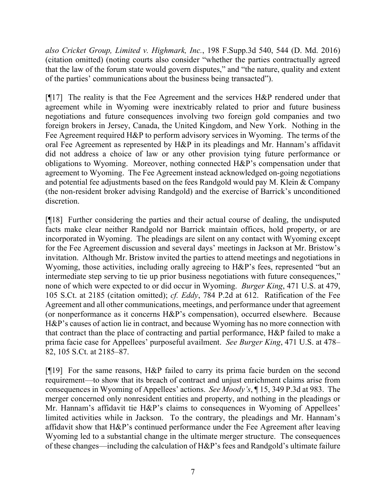*also Cricket Group, Limited v. Highmark, Inc.*, 198 F.Supp.3d 540, 544 (D. Md. 2016) (citation omitted) (noting courts also consider "whether the parties contractually agreed that the law of the forum state would govern disputes," and "the nature, quality and extent of the parties' communications about the business being transacted").

[¶17] The reality is that the Fee Agreement and the services H&P rendered under that agreement while in Wyoming were inextricably related to prior and future business negotiations and future consequences involving two foreign gold companies and two foreign brokers in Jersey, Canada, the United Kingdom, and New York. Nothing in the Fee Agreement required H&P to perform advisory services in Wyoming. The terms of the oral Fee Agreement as represented by H&P in its pleadings and Mr. Hannam's affidavit did not address a choice of law or any other provision tying future performance or obligations to Wyoming. Moreover, nothing connected H&P's compensation under that agreement to Wyoming. The Fee Agreement instead acknowledged on-going negotiations and potential fee adjustments based on the fees Randgold would pay M. Klein & Company (the non-resident broker advising Randgold) and the exercise of Barrick's unconditioned discretion.

[¶18] Further considering the parties and their actual course of dealing, the undisputed facts make clear neither Randgold nor Barrick maintain offices, hold property, or are incorporated in Wyoming. The pleadings are silent on any contact with Wyoming except for the Fee Agreement discussion and several days' meetings in Jackson at Mr. Bristow's invitation. Although Mr. Bristow invited the parties to attend meetings and negotiations in Wyoming, those activities, including orally agreeing to H&P's fees, represented "but an intermediate step serving to tie up prior business negotiations with future consequences," none of which were expected to or did occur in Wyoming. *Burger King*, 471 U.S. at 479, 105 S.Ct. at 2185 (citation omitted); *cf. Eddy*, 784 P.2d at 612.Ratification of the Fee Agreement and all other communications, meetings, and performance under that agreement (or nonperformance as it concerns H&P's compensation), occurred elsewhere. Because H&P's causes of action lie in contract, and because Wyoming has no more connection with that contract than the place of contracting and partial performance, H&P failed to make a prima facie case for Appellees' purposeful availment. *See Burger King*, 471 U.S. at 478– 82, 105 S.Ct. at 2185–87.

[¶19] For the same reasons, H&P failed to carry its prima facie burden on the second requirement—to show that its breach of contract and unjust enrichment claims arise from consequences in Wyoming of Appellees' actions. *See Moody's*, ¶ 15, 349 P.3d at 983. The merger concerned only nonresident entities and property, and nothing in the pleadings or Mr. Hannam's affidavit tie H&P's claims to consequences in Wyoming of Appellees' limited activities while in Jackson. To the contrary, the pleadings and Mr. Hannam's affidavit show that H&P's continued performance under the Fee Agreement after leaving Wyoming led to a substantial change in the ultimate merger structure. The consequences of these changes—including the calculation of H&P's fees and Randgold's ultimate failure